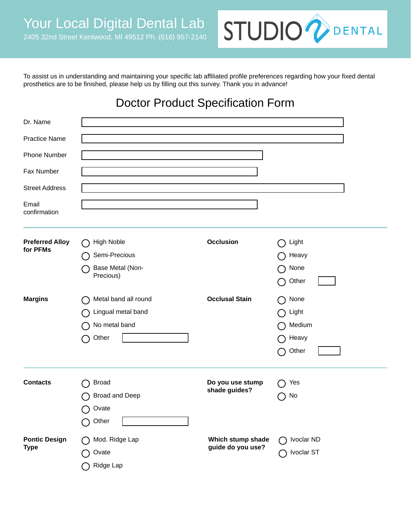

To assist us in understanding and maintaining your specific lab affiliated profile preferences regarding how your fixed dental prosthetics are to be finished, please help us by filling out this survey. Thank you in advance!

## Doctor Product Specification Form

| Dr. Name                            |                                                                             |                                        |                                                      |
|-------------------------------------|-----------------------------------------------------------------------------|----------------------------------------|------------------------------------------------------|
| <b>Practice Name</b>                |                                                                             |                                        |                                                      |
| <b>Phone Number</b>                 |                                                                             |                                        |                                                      |
| Fax Number                          |                                                                             |                                        |                                                      |
| <b>Street Address</b>               |                                                                             |                                        |                                                      |
| Email<br>confirmation               |                                                                             |                                        |                                                      |
| <b>Preferred Alloy</b><br>for PFMs  | <b>High Noble</b><br>Semi-Precious<br>Base Metal (Non-<br>Precious)         | <b>Occlusion</b>                       | Light<br>$\Box$<br>Heavy<br>None<br>Other<br>( )     |
| <b>Margins</b>                      | Metal band all round<br>Lingual metal band<br>No metal band<br>Other<br>( ) | <b>Occlusal Stain</b>                  | None<br>Light<br>Medium<br>Heavy<br>Other<br>- 1     |
| <b>Contacts</b>                     | <b>Broad</b><br><b>Broad and Deep</b><br>Ovate<br>Other<br>Ω                | Do you use stump<br>shade guides?      | Yes<br>No<br>$\Box$                                  |
| <b>Pontic Design</b><br><b>Type</b> | Mod. Ridge Lap<br>Ovate<br>Ridge Lap                                        | Which stump shade<br>guide do you use? | Ivoclar ND<br>$\overline{\phantom{a}}$<br>Ivoclar ST |